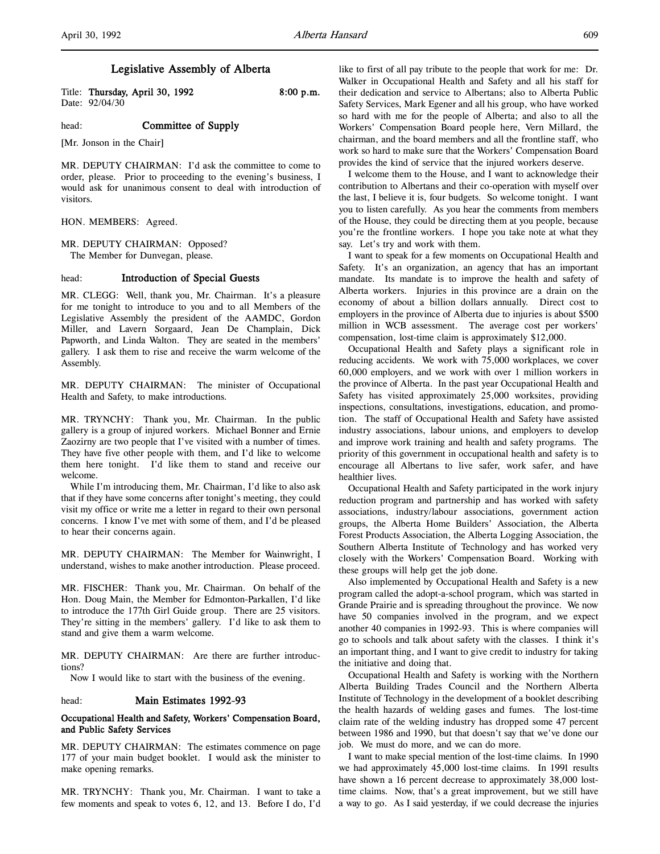# Legislative Assembly of Alberta

Title: Thursday, April 30, 1992 8:00 p.m. Date: 92/04/30

head: **Committee of Supply** 

[Mr. Jonson in the Chair]

MR. DEPUTY CHAIRMAN: I'd ask the committee to come to order, please. Prior to proceeding to the evening's business, I would ask for unanimous consent to deal with introduction of visitors.

HON. MEMBERS: Agreed.

MR. DEPUTY CHAIRMAN: Opposed? The Member for Dunvegan, please.

## head: **Introduction of Special Guests**

MR. CLEGG: Well, thank you, Mr. Chairman. It's a pleasure for me tonight to introduce to you and to all Members of the Legislative Assembly the president of the AAMDC, Gordon Miller, and Lavern Sorgaard, Jean De Champlain, Dick Papworth, and Linda Walton. They are seated in the members' gallery. I ask them to rise and receive the warm welcome of the Assembly.

MR. DEPUTY CHAIRMAN: The minister of Occupational Health and Safety, to make introductions.

MR. TRYNCHY: Thank you, Mr. Chairman. In the public gallery is a group of injured workers. Michael Bonner and Ernie Zaozirny are two people that I've visited with a number of times. They have five other people with them, and I'd like to welcome them here tonight. I'd like them to stand and receive our welcome.

While I'm introducing them, Mr. Chairman, I'd like to also ask that if they have some concerns after tonight's meeting, they could visit my office or write me a letter in regard to their own personal concerns. I know I've met with some of them, and I'd be pleased to hear their concerns again.

MR. DEPUTY CHAIRMAN: The Member for Wainwright, I understand, wishes to make another introduction. Please proceed.

MR. FISCHER: Thank you, Mr. Chairman. On behalf of the Hon. Doug Main, the Member for Edmonton-Parkallen, I'd like to introduce the 177th Girl Guide group. There are 25 visitors. They're sitting in the members' gallery. I'd like to ask them to stand and give them a warm welcome.

MR. DEPUTY CHAIRMAN: Are there are further introductions?

Now I would like to start with the business of the evening.

## head: Main Estimates 1992-93

# Occupational Health and Safety, Workers' Compensation Board, and Public Safety Services

MR. DEPUTY CHAIRMAN: The estimates commence on page 177 of your main budget booklet. I would ask the minister to make opening remarks.

MR. TRYNCHY: Thank you, Mr. Chairman. I want to take a few moments and speak to votes 6, 12, and 13. Before I do, I'd

like to first of all pay tribute to the people that work for me: Dr. Walker in Occupational Health and Safety and all his staff for their dedication and service to Albertans; also to Alberta Public Safety Services, Mark Egener and all his group, who have worked so hard with me for the people of Alberta; and also to all the Workers' Compensation Board people here, Vern Millard, the chairman, and the board members and all the frontline staff, who work so hard to make sure that the Workers' Compensation Board provides the kind of service that the injured workers deserve.

I welcome them to the House, and I want to acknowledge their contribution to Albertans and their co-operation with myself over the last, I believe it is, four budgets. So welcome tonight. I want you to listen carefully. As you hear the comments from members of the House, they could be directing them at you people, because you're the frontline workers. I hope you take note at what they say. Let's try and work with them.

I want to speak for a few moments on Occupational Health and Safety. It's an organization, an agency that has an important mandate. Its mandate is to improve the health and safety of Alberta workers. Injuries in this province are a drain on the economy of about a billion dollars annually. Direct cost to employers in the province of Alberta due to injuries is about \$500 million in WCB assessment. The average cost per workers' compensation, lost-time claim is approximately \$12,000.

Occupational Health and Safety plays a significant role in reducing accidents. We work with 75,000 workplaces, we cover 60,000 employers, and we work with over 1 million workers in the province of Alberta. In the past year Occupational Health and Safety has visited approximately 25,000 worksites, providing inspections, consultations, investigations, education, and promotion. The staff of Occupational Health and Safety have assisted industry associations, labour unions, and employers to develop and improve work training and health and safety programs. The priority of this government in occupational health and safety is to encourage all Albertans to live safer, work safer, and have healthier lives.

Occupational Health and Safety participated in the work injury reduction program and partnership and has worked with safety associations, industry/labour associations, government action groups, the Alberta Home Builders' Association, the Alberta Forest Products Association, the Alberta Logging Association, the Southern Alberta Institute of Technology and has worked very closely with the Workers' Compensation Board. Working with these groups will help get the job done.

Also implemented by Occupational Health and Safety is a new program called the adopt-a-school program, which was started in Grande Prairie and is spreading throughout the province. We now have 50 companies involved in the program, and we expect another 40 companies in 1992-93. This is where companies will go to schools and talk about safety with the classes. I think it's an important thing, and I want to give credit to industry for taking the initiative and doing that.

Occupational Health and Safety is working with the Northern Alberta Building Trades Council and the Northern Alberta Institute of Technology in the development of a booklet describing the health hazards of welding gases and fumes. The lost-time claim rate of the welding industry has dropped some 47 percent between 1986 and 1990, but that doesn't say that we've done our job. We must do more, and we can do more.

I want to make special mention of the lost-time claims. In 1990 we had approximately 45,000 lost-time claims. In 1991 results have shown a 16 percent decrease to approximately 38,000 losttime claims. Now, that's a great improvement, but we still have a way to go. As I said yesterday, if we could decrease the injuries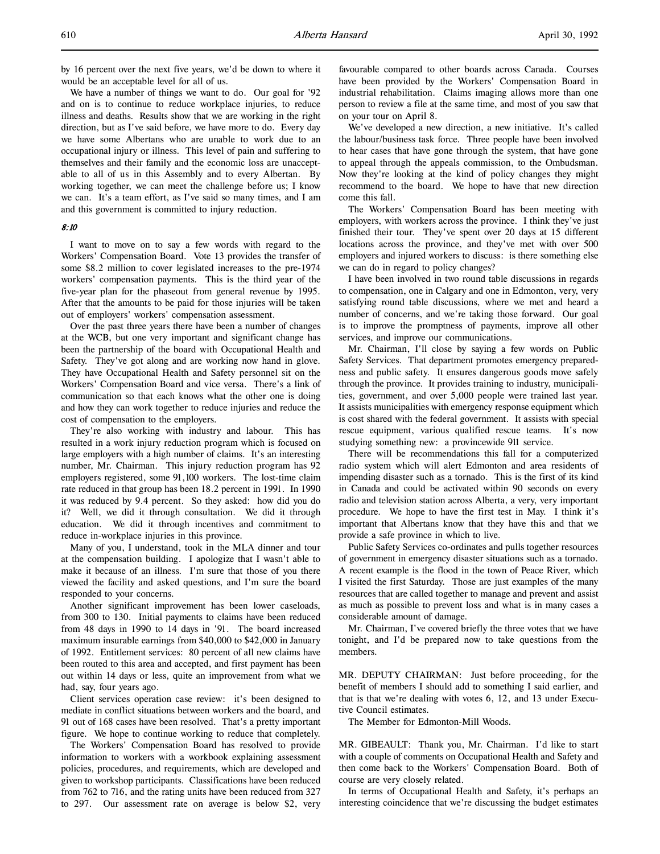We have a number of things we want to do. Our goal for '92 and on is to continue to reduce workplace injuries, to reduce illness and deaths. Results show that we are working in the right direction, but as I've said before, we have more to do. Every day we have some Albertans who are unable to work due to an occupational injury or illness. This level of pain and suffering to themselves and their family and the economic loss are unacceptable to all of us in this Assembly and to every Albertan. By working together, we can meet the challenge before us; I know we can. It's a team effort, as I've said so many times, and I am and this government is committed to injury reduction.

#### 8:10

I want to move on to say a few words with regard to the Workers' Compensation Board. Vote 13 provides the transfer of some \$8.2 million to cover legislated increases to the pre-1974 workers' compensation payments. This is the third year of the five-year plan for the phaseout from general revenue by 1995. After that the amounts to be paid for those injuries will be taken out of employers' workers' compensation assessment.

Over the past three years there have been a number of changes at the WCB, but one very important and significant change has been the partnership of the board with Occupational Health and Safety. They've got along and are working now hand in glove. They have Occupational Health and Safety personnel sit on the Workers' Compensation Board and vice versa. There's a link of communication so that each knows what the other one is doing and how they can work together to reduce injuries and reduce the cost of compensation to the employers.

They're also working with industry and labour. This has resulted in a work injury reduction program which is focused on large employers with a high number of claims. It's an interesting number, Mr. Chairman. This injury reduction program has 92 employers registered, some 91,100 workers. The lost-time claim rate reduced in that group has been 18.2 percent in 1991. In 1990 it was reduced by 9.4 percent. So they asked: how did you do it? Well, we did it through consultation. We did it through education. We did it through incentives and commitment to reduce in-workplace injuries in this province.

Many of you, I understand, took in the MLA dinner and tour at the compensation building. I apologize that I wasn't able to make it because of an illness. I'm sure that those of you there viewed the facility and asked questions, and I'm sure the board responded to your concerns.

Another significant improvement has been lower caseloads, from 300 to 130. Initial payments to claims have been reduced from 48 days in 1990 to 14 days in '91. The board increased maximum insurable earnings from \$40,000 to \$42,000 in January of 1992. Entitlement services: 80 percent of all new claims have been routed to this area and accepted, and first payment has been out within 14 days or less, quite an improvement from what we had, say, four years ago.

Client services operation case review: it's been designed to mediate in conflict situations between workers and the board, and 91 out of 168 cases have been resolved. That's a pretty important figure. We hope to continue working to reduce that completely.

The Workers' Compensation Board has resolved to provide information to workers with a workbook explaining assessment policies, procedures, and requirements, which are developed and given to workshop participants. Classifications have been reduced from 762 to 716, and the rating units have been reduced from 327 to 297. Our assessment rate on average is below \$2, very

favourable compared to other boards across Canada. Courses have been provided by the Workers' Compensation Board in industrial rehabilitation. Claims imaging allows more than one person to review a file at the same time, and most of you saw that on your tour on April 8.

We've developed a new direction, a new initiative. It's called the labour/business task force. Three people have been involved to hear cases that have gone through the system, that have gone to appeal through the appeals commission, to the Ombudsman. Now they're looking at the kind of policy changes they might recommend to the board. We hope to have that new direction come this fall.

The Workers' Compensation Board has been meeting with employers, with workers across the province. I think they've just finished their tour. They've spent over 20 days at 15 different locations across the province, and they've met with over 500 employers and injured workers to discuss: is there something else we can do in regard to policy changes?

I have been involved in two round table discussions in regards to compensation, one in Calgary and one in Edmonton, very, very satisfying round table discussions, where we met and heard a number of concerns, and we're taking those forward. Our goal is to improve the promptness of payments, improve all other services, and improve our communications.

Mr. Chairman, I'll close by saying a few words on Public Safety Services. That department promotes emergency preparedness and public safety. It ensures dangerous goods move safely through the province. It provides training to industry, municipalities, government, and over 5,000 people were trained last year. It assists municipalities with emergency response equipment which is cost shared with the federal government. It assists with special rescue equipment, various qualified rescue teams. It's now studying something new: a provincewide 911 service.

There will be recommendations this fall for a computerized radio system which will alert Edmonton and area residents of impending disaster such as a tornado. This is the first of its kind in Canada and could be activated within 90 seconds on every radio and television station across Alberta, a very, very important procedure. We hope to have the first test in May. I think it's important that Albertans know that they have this and that we provide a safe province in which to live.

Public Safety Services co-ordinates and pulls together resources of government in emergency disaster situations such as a tornado. A recent example is the flood in the town of Peace River, which I visited the first Saturday. Those are just examples of the many resources that are called together to manage and prevent and assist as much as possible to prevent loss and what is in many cases a considerable amount of damage.

Mr. Chairman, I've covered briefly the three votes that we have tonight, and I'd be prepared now to take questions from the members.

MR. DEPUTY CHAIRMAN: Just before proceeding, for the benefit of members I should add to something I said earlier, and that is that we're dealing with votes 6, 12, and 13 under Executive Council estimates.

The Member for Edmonton-Mill Woods.

MR. GIBEAULT: Thank you, Mr. Chairman. I'd like to start with a couple of comments on Occupational Health and Safety and then come back to the Workers' Compensation Board. Both of course are very closely related.

In terms of Occupational Health and Safety, it's perhaps an interesting coincidence that we're discussing the budget estimates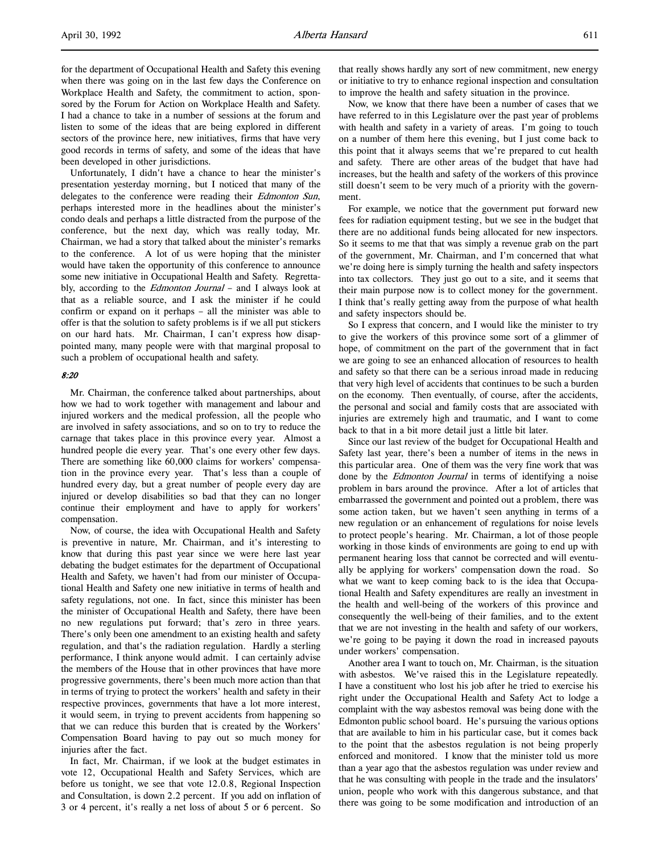for the department of Occupational Health and Safety this evening when there was going on in the last few days the Conference on Workplace Health and Safety, the commitment to action, sponsored by the Forum for Action on Workplace Health and Safety. I had a chance to take in a number of sessions at the forum and listen to some of the ideas that are being explored in different sectors of the province here, new initiatives, firms that have very good records in terms of safety, and some of the ideas that have been developed in other jurisdictions.

Unfortunately, I didn't have a chance to hear the minister's presentation yesterday morning, but I noticed that many of the delegates to the conference were reading their Edmonton Sun, perhaps interested more in the headlines about the minister's condo deals and perhaps a little distracted from the purpose of the conference, but the next day, which was really today, Mr. Chairman, we had a story that talked about the minister's remarks to the conference. A lot of us were hoping that the minister would have taken the opportunity of this conference to announce some new initiative in Occupational Health and Safety. Regrettably, according to the *Edmonton Journal* - and I always look at that as a reliable source, and I ask the minister if he could confirm or expand on it perhaps – all the minister was able to offer is that the solution to safety problems is if we all put stickers on our hard hats. Mr. Chairman, I can't express how disappointed many, many people were with that marginal proposal to such a problem of occupational health and safety.

### 8:20

Mr. Chairman, the conference talked about partnerships, about how we had to work together with management and labour and injured workers and the medical profession, all the people who are involved in safety associations, and so on to try to reduce the carnage that takes place in this province every year. Almost a hundred people die every year. That's one every other few days. There are something like 60,000 claims for workers' compensation in the province every year. That's less than a couple of hundred every day, but a great number of people every day are injured or develop disabilities so bad that they can no longer continue their employment and have to apply for workers' compensation.

Now, of course, the idea with Occupational Health and Safety is preventive in nature, Mr. Chairman, and it's interesting to know that during this past year since we were here last year debating the budget estimates for the department of Occupational Health and Safety, we haven't had from our minister of Occupational Health and Safety one new initiative in terms of health and safety regulations, not one. In fact, since this minister has been the minister of Occupational Health and Safety, there have been no new regulations put forward; that's zero in three years. There's only been one amendment to an existing health and safety regulation, and that's the radiation regulation. Hardly a sterling performance, I think anyone would admit. I can certainly advise the members of the House that in other provinces that have more progressive governments, there's been much more action than that in terms of trying to protect the workers' health and safety in their respective provinces, governments that have a lot more interest, it would seem, in trying to prevent accidents from happening so that we can reduce this burden that is created by the Workers' Compensation Board having to pay out so much money for injuries after the fact.

In fact, Mr. Chairman, if we look at the budget estimates in vote 12, Occupational Health and Safety Services, which are before us tonight, we see that vote 12.0.8, Regional Inspection and Consultation, is down 2.2 percent. If you add on inflation of 3 or 4 percent, it's really a net loss of about 5 or 6 percent. So

that really shows hardly any sort of new commitment, new energy or initiative to try to enhance regional inspection and consultation to improve the health and safety situation in the province.

Now, we know that there have been a number of cases that we have referred to in this Legislature over the past year of problems with health and safety in a variety of areas. I'm going to touch on a number of them here this evening, but I just come back to this point that it always seems that we're prepared to cut health and safety. There are other areas of the budget that have had increases, but the health and safety of the workers of this province still doesn't seem to be very much of a priority with the government.

For example, we notice that the government put forward new fees for radiation equipment testing, but we see in the budget that there are no additional funds being allocated for new inspectors. So it seems to me that that was simply a revenue grab on the part of the government, Mr. Chairman, and I'm concerned that what we're doing here is simply turning the health and safety inspectors into tax collectors. They just go out to a site, and it seems that their main purpose now is to collect money for the government. I think that's really getting away from the purpose of what health and safety inspectors should be.

So I express that concern, and I would like the minister to try to give the workers of this province some sort of a glimmer of hope, of commitment on the part of the government that in fact we are going to see an enhanced allocation of resources to health and safety so that there can be a serious inroad made in reducing that very high level of accidents that continues to be such a burden on the economy. Then eventually, of course, after the accidents, the personal and social and family costs that are associated with injuries are extremely high and traumatic, and I want to come back to that in a bit more detail just a little bit later.

Since our last review of the budget for Occupational Health and Safety last year, there's been a number of items in the news in this particular area. One of them was the very fine work that was done by the *Edmonton Journal* in terms of identifying a noise problem in bars around the province. After a lot of articles that embarrassed the government and pointed out a problem, there was some action taken, but we haven't seen anything in terms of a new regulation or an enhancement of regulations for noise levels to protect people's hearing. Mr. Chairman, a lot of those people working in those kinds of environments are going to end up with permanent hearing loss that cannot be corrected and will eventually be applying for workers' compensation down the road. So what we want to keep coming back to is the idea that Occupational Health and Safety expenditures are really an investment in the health and well-being of the workers of this province and consequently the well-being of their families, and to the extent that we are not investing in the health and safety of our workers, we're going to be paying it down the road in increased payouts under workers' compensation.

Another area I want to touch on, Mr. Chairman, is the situation with asbestos. We've raised this in the Legislature repeatedly. I have a constituent who lost his job after he tried to exercise his right under the Occupational Health and Safety Act to lodge a complaint with the way asbestos removal was being done with the Edmonton public school board. He's pursuing the various options that are available to him in his particular case, but it comes back to the point that the asbestos regulation is not being properly enforced and monitored. I know that the minister told us more than a year ago that the asbestos regulation was under review and that he was consulting with people in the trade and the insulators' union, people who work with this dangerous substance, and that there was going to be some modification and introduction of an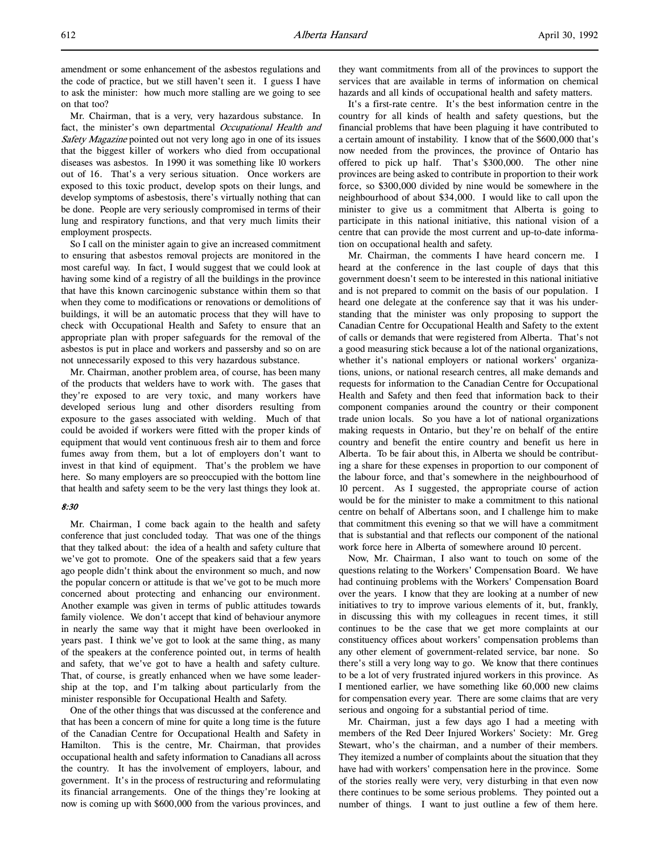Mr. Chairman, that is a very, very hazardous substance. In fact, the minister's own departmental Occupational Health and Safety Magazine pointed out not very long ago in one of its issues that the biggest killer of workers who died from occupational diseases was asbestos. In 1990 it was something like 10 workers out of 16. That's a very serious situation. Once workers are exposed to this toxic product, develop spots on their lungs, and develop symptoms of asbestosis, there's virtually nothing that can be done. People are very seriously compromised in terms of their lung and respiratory functions, and that very much limits their employment prospects.

So I call on the minister again to give an increased commitment to ensuring that asbestos removal projects are monitored in the most careful way. In fact, I would suggest that we could look at having some kind of a registry of all the buildings in the province that have this known carcinogenic substance within them so that when they come to modifications or renovations or demolitions of buildings, it will be an automatic process that they will have to check with Occupational Health and Safety to ensure that an appropriate plan with proper safeguards for the removal of the asbestos is put in place and workers and passersby and so on are not unnecessarily exposed to this very hazardous substance.

Mr. Chairman, another problem area, of course, has been many of the products that welders have to work with. The gases that they're exposed to are very toxic, and many workers have developed serious lung and other disorders resulting from exposure to the gases associated with welding. Much of that could be avoided if workers were fitted with the proper kinds of equipment that would vent continuous fresh air to them and force fumes away from them, but a lot of employers don't want to invest in that kind of equipment. That's the problem we have here. So many employers are so preoccupied with the bottom line that health and safety seem to be the very last things they look at.

# 8:30

Mr. Chairman, I come back again to the health and safety conference that just concluded today. That was one of the things that they talked about: the idea of a health and safety culture that we've got to promote. One of the speakers said that a few years ago people didn't think about the environment so much, and now the popular concern or attitude is that we've got to be much more concerned about protecting and enhancing our environment. Another example was given in terms of public attitudes towards family violence. We don't accept that kind of behaviour anymore in nearly the same way that it might have been overlooked in years past. I think we've got to look at the same thing, as many of the speakers at the conference pointed out, in terms of health and safety, that we've got to have a health and safety culture. That, of course, is greatly enhanced when we have some leadership at the top, and I'm talking about particularly from the minister responsible for Occupational Health and Safety.

One of the other things that was discussed at the conference and that has been a concern of mine for quite a long time is the future of the Canadian Centre for Occupational Health and Safety in Hamilton. This is the centre, Mr. Chairman, that provides occupational health and safety information to Canadians all across the country. It has the involvement of employers, labour, and government. It's in the process of restructuring and reformulating its financial arrangements. One of the things they're looking at now is coming up with \$600,000 from the various provinces, and

they want commitments from all of the provinces to support the services that are available in terms of information on chemical hazards and all kinds of occupational health and safety matters.

It's a first-rate centre. It's the best information centre in the country for all kinds of health and safety questions, but the financial problems that have been plaguing it have contributed to a certain amount of instability. I know that of the \$600,000 that's now needed from the provinces, the province of Ontario has offered to pick up half. That's \$300,000. The other nine provinces are being asked to contribute in proportion to their work force, so \$300,000 divided by nine would be somewhere in the neighbourhood of about \$34,000. I would like to call upon the minister to give us a commitment that Alberta is going to participate in this national initiative, this national vision of a centre that can provide the most current and up-to-date information on occupational health and safety.

Mr. Chairman, the comments I have heard concern me. I heard at the conference in the last couple of days that this government doesn't seem to be interested in this national initiative and is not prepared to commit on the basis of our population. I heard one delegate at the conference say that it was his understanding that the minister was only proposing to support the Canadian Centre for Occupational Health and Safety to the extent of calls or demands that were registered from Alberta. That's not a good measuring stick because a lot of the national organizations, whether it's national employers or national workers' organizations, unions, or national research centres, all make demands and requests for information to the Canadian Centre for Occupational Health and Safety and then feed that information back to their component companies around the country or their component trade union locals. So you have a lot of national organizations making requests in Ontario, but they're on behalf of the entire country and benefit the entire country and benefit us here in Alberta. To be fair about this, in Alberta we should be contributing a share for these expenses in proportion to our component of the labour force, and that's somewhere in the neighbourhood of 10 percent. As I suggested, the appropriate course of action would be for the minister to make a commitment to this national centre on behalf of Albertans soon, and I challenge him to make that commitment this evening so that we will have a commitment that is substantial and that reflects our component of the national work force here in Alberta of somewhere around 10 percent.

Now, Mr. Chairman, I also want to touch on some of the questions relating to the Workers' Compensation Board. We have had continuing problems with the Workers' Compensation Board over the years. I know that they are looking at a number of new initiatives to try to improve various elements of it, but, frankly, in discussing this with my colleagues in recent times, it still continues to be the case that we get more complaints at our constituency offices about workers' compensation problems than any other element of government-related service, bar none. So there's still a very long way to go. We know that there continues to be a lot of very frustrated injured workers in this province. As I mentioned earlier, we have something like 60,000 new claims for compensation every year. There are some claims that are very serious and ongoing for a substantial period of time.

Mr. Chairman, just a few days ago I had a meeting with members of the Red Deer Injured Workers' Society: Mr. Greg Stewart, who's the chairman, and a number of their members. They itemized a number of complaints about the situation that they have had with workers' compensation here in the province. Some of the stories really were very, very disturbing in that even now there continues to be some serious problems. They pointed out a number of things. I want to just outline a few of them here.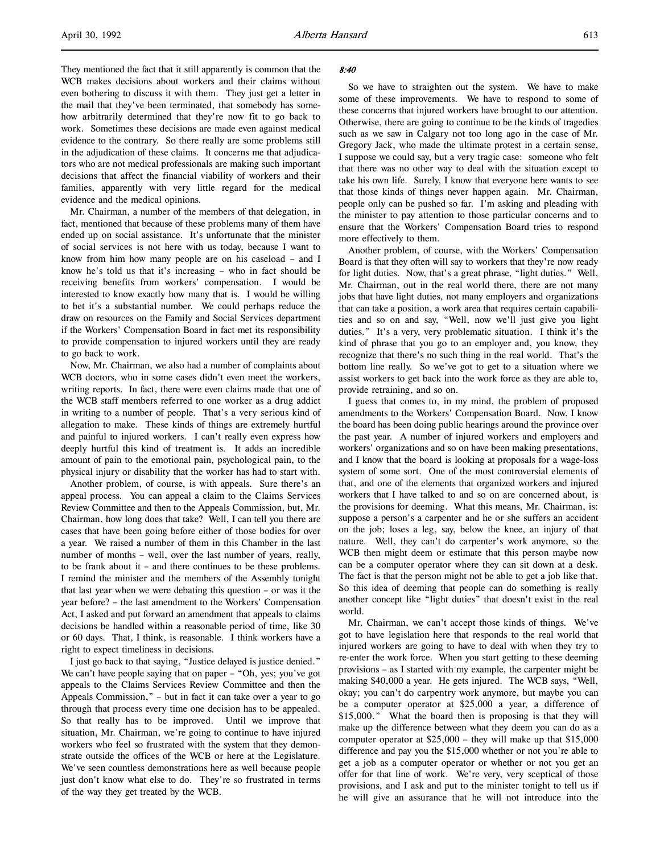They mentioned the fact that it still apparently is common that the WCB makes decisions about workers and their claims without even bothering to discuss it with them. They just get a letter in the mail that they've been terminated, that somebody has somehow arbitrarily determined that they're now fit to go back to work. Sometimes these decisions are made even against medical evidence to the contrary. So there really are some problems still in the adjudication of these claims. It concerns me that adjudicators who are not medical professionals are making such important decisions that affect the financial viability of workers and their families, apparently with very little regard for the medical evidence and the medical opinions.

Mr. Chairman, a number of the members of that delegation, in fact, mentioned that because of these problems many of them have ended up on social assistance. It's unfortunate that the minister of social services is not here with us today, because I want to know from him how many people are on his caseload – and I know he's told us that it's increasing – who in fact should be receiving benefits from workers' compensation. I would be interested to know exactly how many that is. I would be willing to bet it's a substantial number. We could perhaps reduce the draw on resources on the Family and Social Services department if the Workers' Compensation Board in fact met its responsibility to provide compensation to injured workers until they are ready to go back to work.

Now, Mr. Chairman, we also had a number of complaints about WCB doctors, who in some cases didn't even meet the workers, writing reports. In fact, there were even claims made that one of the WCB staff members referred to one worker as a drug addict in writing to a number of people. That's a very serious kind of allegation to make. These kinds of things are extremely hurtful and painful to injured workers. I can't really even express how deeply hurtful this kind of treatment is. It adds an incredible amount of pain to the emotional pain, psychological pain, to the physical injury or disability that the worker has had to start with.

Another problem, of course, is with appeals. Sure there's an appeal process. You can appeal a claim to the Claims Services Review Committee and then to the Appeals Commission, but, Mr. Chairman, how long does that take? Well, I can tell you there are cases that have been going before either of those bodies for over a year. We raised a number of them in this Chamber in the last number of months – well, over the last number of years, really, to be frank about it – and there continues to be these problems. I remind the minister and the members of the Assembly tonight that last year when we were debating this question – or was it the year before? – the last amendment to the Workers' Compensation Act, I asked and put forward an amendment that appeals to claims decisions be handled within a reasonable period of time, like 30 or 60 days. That, I think, is reasonable. I think workers have a right to expect timeliness in decisions.

I just go back to that saying, "Justice delayed is justice denied." We can't have people saying that on paper – "Oh, yes; you've got appeals to the Claims Services Review Committee and then the Appeals Commission," – but in fact it can take over a year to go through that process every time one decision has to be appealed. So that really has to be improved. Until we improve that situation, Mr. Chairman, we're going to continue to have injured workers who feel so frustrated with the system that they demonstrate outside the offices of the WCB or here at the Legislature. We've seen countless demonstrations here as well because people just don't know what else to do. They're so frustrated in terms of the way they get treated by the WCB.

#### 8:40

So we have to straighten out the system. We have to make some of these improvements. We have to respond to some of these concerns that injured workers have brought to our attention. Otherwise, there are going to continue to be the kinds of tragedies such as we saw in Calgary not too long ago in the case of Mr. Gregory Jack, who made the ultimate protest in a certain sense, I suppose we could say, but a very tragic case: someone who felt that there was no other way to deal with the situation except to take his own life. Surely, I know that everyone here wants to see that those kinds of things never happen again. Mr. Chairman, people only can be pushed so far. I'm asking and pleading with the minister to pay attention to those particular concerns and to ensure that the Workers' Compensation Board tries to respond more effectively to them.

Another problem, of course, with the Workers' Compensation Board is that they often will say to workers that they're now ready for light duties. Now, that's a great phrase, "light duties." Well, Mr. Chairman, out in the real world there, there are not many jobs that have light duties, not many employers and organizations that can take a position, a work area that requires certain capabilities and so on and say, "Well, now we'll just give you light duties." It's a very, very problematic situation. I think it's the kind of phrase that you go to an employer and, you know, they recognize that there's no such thing in the real world. That's the bottom line really. So we've got to get to a situation where we assist workers to get back into the work force as they are able to, provide retraining, and so on.

I guess that comes to, in my mind, the problem of proposed amendments to the Workers' Compensation Board. Now, I know the board has been doing public hearings around the province over the past year. A number of injured workers and employers and workers' organizations and so on have been making presentations, and I know that the board is looking at proposals for a wage-loss system of some sort. One of the most controversial elements of that, and one of the elements that organized workers and injured workers that I have talked to and so on are concerned about, is the provisions for deeming. What this means, Mr. Chairman, is: suppose a person's a carpenter and he or she suffers an accident on the job; loses a leg, say, below the knee, an injury of that nature. Well, they can't do carpenter's work anymore, so the WCB then might deem or estimate that this person maybe now can be a computer operator where they can sit down at a desk. The fact is that the person might not be able to get a job like that. So this idea of deeming that people can do something is really another concept like "light duties" that doesn't exist in the real world.

Mr. Chairman, we can't accept those kinds of things. We've got to have legislation here that responds to the real world that injured workers are going to have to deal with when they try to re-enter the work force. When you start getting to these deeming provisions – as I started with my example, the carpenter might be making \$40,000 a year. He gets injured. The WCB says, "Well, okay; you can't do carpentry work anymore, but maybe you can be a computer operator at \$25,000 a year, a difference of \$15,000." What the board then is proposing is that they will make up the difference between what they deem you can do as a computer operator at \$25,000 – they will make up that \$15,000 difference and pay you the \$15,000 whether or not you're able to get a job as a computer operator or whether or not you get an offer for that line of work. We're very, very sceptical of those provisions, and I ask and put to the minister tonight to tell us if he will give an assurance that he will not introduce into the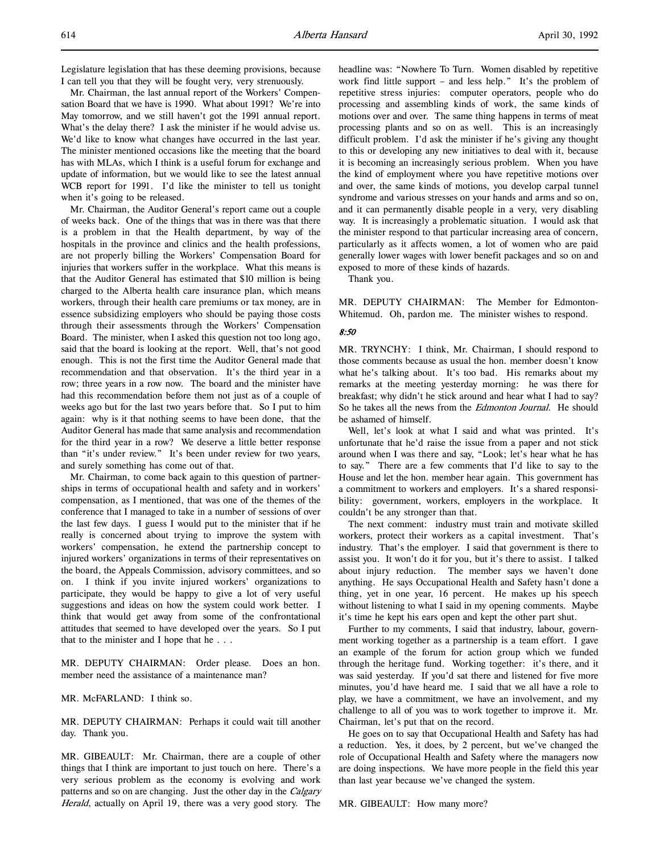Mr. Chairman, the last annual report of the Workers' Compensation Board that we have is 1990. What about 1991? We're into May tomorrow, and we still haven't got the 1991 annual report. What's the delay there? I ask the minister if he would advise us. We'd like to know what changes have occurred in the last year. The minister mentioned occasions like the meeting that the board has with MLAs, which I think is a useful forum for exchange and update of information, but we would like to see the latest annual WCB report for 1991. I'd like the minister to tell us tonight when it's going to be released.

Mr. Chairman, the Auditor General's report came out a couple of weeks back. One of the things that was in there was that there is a problem in that the Health department, by way of the hospitals in the province and clinics and the health professions, are not properly billing the Workers' Compensation Board for injuries that workers suffer in the workplace. What this means is that the Auditor General has estimated that \$10 million is being charged to the Alberta health care insurance plan, which means workers, through their health care premiums or tax money, are in essence subsidizing employers who should be paying those costs through their assessments through the Workers' Compensation Board. The minister, when I asked this question not too long ago, said that the board is looking at the report. Well, that's not good enough. This is not the first time the Auditor General made that recommendation and that observation. It's the third year in a row; three years in a row now. The board and the minister have had this recommendation before them not just as of a couple of weeks ago but for the last two years before that. So I put to him again: why is it that nothing seems to have been done, that the Auditor General has made that same analysis and recommendation for the third year in a row? We deserve a little better response than "it's under review." It's been under review for two years, and surely something has come out of that.

Mr. Chairman, to come back again to this question of partnerships in terms of occupational health and safety and in workers' compensation, as I mentioned, that was one of the themes of the conference that I managed to take in a number of sessions of over the last few days. I guess I would put to the minister that if he really is concerned about trying to improve the system with workers' compensation, he extend the partnership concept to injured workers' organizations in terms of their representatives on the board, the Appeals Commission, advisory committees, and so on. I think if you invite injured workers' organizations to participate, they would be happy to give a lot of very useful suggestions and ideas on how the system could work better. I think that would get away from some of the confrontational attitudes that seemed to have developed over the years. So I put that to the minister and I hope that he . . .

MR. DEPUTY CHAIRMAN: Order please. Does an hon. member need the assistance of a maintenance man?

MR. McFARLAND: I think so.

MR. DEPUTY CHAIRMAN: Perhaps it could wait till another day. Thank you.

MR. GIBEAULT: Mr. Chairman, there are a couple of other things that I think are important to just touch on here. There's a very serious problem as the economy is evolving and work patterns and so on are changing. Just the other day in the Calgary Herald, actually on April 19, there was a very good story. The headline was: "Nowhere To Turn. Women disabled by repetitive work find little support – and less help." It's the problem of repetitive stress injuries: computer operators, people who do processing and assembling kinds of work, the same kinds of motions over and over. The same thing happens in terms of meat processing plants and so on as well. This is an increasingly difficult problem. I'd ask the minister if he's giving any thought to this or developing any new initiatives to deal with it, because it is becoming an increasingly serious problem. When you have the kind of employment where you have repetitive motions over and over, the same kinds of motions, you develop carpal tunnel syndrome and various stresses on your hands and arms and so on, and it can permanently disable people in a very, very disabling way. It is increasingly a problematic situation. I would ask that the minister respond to that particular increasing area of concern, particularly as it affects women, a lot of women who are paid generally lower wages with lower benefit packages and so on and exposed to more of these kinds of hazards.

Thank you.

MR. DEPUTY CHAIRMAN: The Member for Edmonton-Whitemud. Oh, pardon me. The minister wishes to respond.

### 8:50

MR. TRYNCHY: I think, Mr. Chairman, I should respond to those comments because as usual the hon. member doesn't know what he's talking about. It's too bad. His remarks about my remarks at the meeting yesterday morning: he was there for breakfast; why didn't he stick around and hear what I had to say? So he takes all the news from the *Edmonton Journal*. He should be ashamed of himself.

Well, let's look at what I said and what was printed. It's unfortunate that he'd raise the issue from a paper and not stick around when I was there and say, "Look; let's hear what he has to say." There are a few comments that I'd like to say to the House and let the hon. member hear again. This government has a commitment to workers and employers. It's a shared responsibility: government, workers, employers in the workplace. It couldn't be any stronger than that.

The next comment: industry must train and motivate skilled workers, protect their workers as a capital investment. That's industry. That's the employer. I said that government is there to assist you. It won't do it for you, but it's there to assist. I talked about injury reduction. The member says we haven't done anything. He says Occupational Health and Safety hasn't done a thing, yet in one year, 16 percent. He makes up his speech without listening to what I said in my opening comments. Maybe it's time he kept his ears open and kept the other part shut.

Further to my comments, I said that industry, labour, government working together as a partnership is a team effort. I gave an example of the forum for action group which we funded through the heritage fund. Working together: it's there, and it was said yesterday. If you'd sat there and listened for five more minutes, you'd have heard me. I said that we all have a role to play, we have a commitment, we have an involvement, and my challenge to all of you was to work together to improve it. Mr. Chairman, let's put that on the record.

He goes on to say that Occupational Health and Safety has had a reduction. Yes, it does, by 2 percent, but we've changed the role of Occupational Health and Safety where the managers now are doing inspections. We have more people in the field this year than last year because we've changed the system.

MR. GIBEAULT: How many more?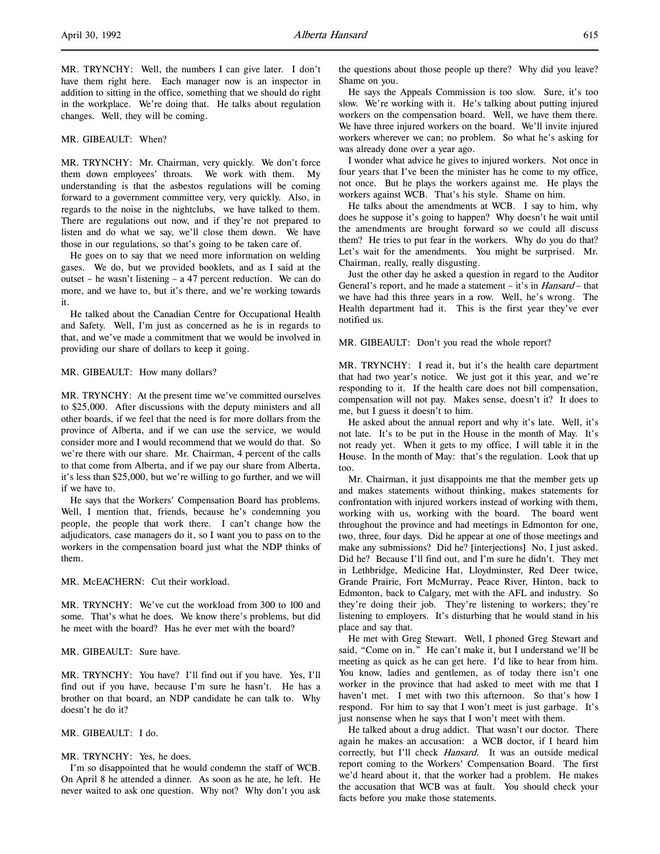MR. TRYNCHY: Well, the numbers I can give later. I don't have them right here. Each manager now is an inspector in addition to sitting in the office, something that we should do right in the workplace. We're doing that. He talks about regulation changes. Well, they will be coming.

#### MR. GIBEAULT: When?

MR. TRYNCHY: Mr. Chairman, very quickly. We don't force them down employees' throats. We work with them. My understanding is that the asbestos regulations will be coming forward to a government committee very, very quickly. Also, in regards to the noise in the nightclubs, we have talked to them. There are regulations out now, and if they're not prepared to listen and do what we say, we'll close them down. We have those in our regulations, so that's going to be taken care of.

He goes on to say that we need more information on welding gases. We do, but we provided booklets, and as I said at the outset – he wasn't listening – a 47 percent reduction. We can do more, and we have to, but it's there, and we're working towards it.

He talked about the Canadian Centre for Occupational Health and Safety. Well, I'm just as concerned as he is in regards to that, and we've made a commitment that we would be involved in providing our share of dollars to keep it going.

#### MR. GIBEAULT: How many dollars?

MR. TRYNCHY: At the present time we've committed ourselves to \$25,000. After discussions with the deputy ministers and all other boards, if we feel that the need is for more dollars from the province of Alberta, and if we can use the service, we would consider more and I would recommend that we would do that. So we're there with our share. Mr. Chairman, 4 percent of the calls to that come from Alberta, and if we pay our share from Alberta, it's less than \$25,000, but we're willing to go further, and we will if we have to.

He says that the Workers' Compensation Board has problems. Well, I mention that, friends, because he's condemning you people, the people that work there. I can't change how the adjudicators, case managers do it, so I want you to pass on to the workers in the compensation board just what the NDP thinks of them.

MR. McEACHERN: Cut their workload.

MR. TRYNCHY: We've cut the workload from 300 to 100 and some. That's what he does. We know there's problems, but did he meet with the board? Has he ever met with the board?

# MR. GIBEAULT: Sure have.

MR. TRYNCHY: You have? I'll find out if you have. Yes, I'll find out if you have, because I'm sure he hasn't. He has a brother on that board, an NDP candidate he can talk to. Why doesn't he do it?

MR. GIBEAULT: I do.

#### MR. TRYNCHY: Yes, he does.

I'm so disappointed that he would condemn the staff of WCB. On April 8 he attended a dinner. As soon as he ate, he left. He never waited to ask one question. Why not? Why don't you ask the questions about those people up there? Why did you leave? Shame on you.

He says the Appeals Commission is too slow. Sure, it's too slow. We're working with it. He's talking about putting injured workers on the compensation board. Well, we have them there. We have three injured workers on the board. We'll invite injured workers wherever we can; no problem. So what he's asking for was already done over a year ago.

I wonder what advice he gives to injured workers. Not once in four years that I've been the minister has he come to my office, not once. But he plays the workers against me. He plays the workers against WCB. That's his style. Shame on him.

He talks about the amendments at WCB. I say to him, why does he suppose it's going to happen? Why doesn't he wait until the amendments are brought forward so we could all discuss them? He tries to put fear in the workers. Why do you do that? Let's wait for the amendments. You might be surprised. Mr. Chairman, really, really disgusting.

Just the other day he asked a question in regard to the Auditor General's report, and he made a statement – it's in *Hansard* – that we have had this three years in a row. Well, he's wrong. The Health department had it. This is the first year they've ever notified us.

MR. GIBEAULT: Don't you read the whole report?

MR. TRYNCHY: I read it, but it's the health care department that had two year's notice. We just got it this year, and we're responding to it. If the health care does not bill compensation, compensation will not pay. Makes sense, doesn't it? It does to me, but I guess it doesn't to him.

He asked about the annual report and why it's late. Well, it's not late. It's to be put in the House in the month of May. It's not ready yet. When it gets to my office, I will table it in the House. In the month of May: that's the regulation. Look that up too.

Mr. Chairman, it just disappoints me that the member gets up and makes statements without thinking, makes statements for confrontation with injured workers instead of working with them, working with us, working with the board. The board went throughout the province and had meetings in Edmonton for one, two, three, four days. Did he appear at one of those meetings and make any submissions? Did he? [interjections] No, I just asked. Did he? Because I'll find out, and I'm sure he didn't. They met in Lethbridge, Medicine Hat, Lloydminster, Red Deer twice, Grande Prairie, Fort McMurray, Peace River, Hinton, back to Edmonton, back to Calgary, met with the AFL and industry. So they're doing their job. They're listening to workers; they're listening to employers. It's disturbing that he would stand in his place and say that.

He met with Greg Stewart. Well, I phoned Greg Stewart and said, "Come on in." He can't make it, but I understand we'll be meeting as quick as he can get here. I'd like to hear from him. You know, ladies and gentlemen, as of today there isn't one worker in the province that had asked to meet with me that I haven't met. I met with two this afternoon. So that's how I respond. For him to say that I won't meet is just garbage. It's just nonsense when he says that I won't meet with them.

He talked about a drug addict. That wasn't our doctor. There again he makes an accusation: a WCB doctor, if I heard him correctly, but I'll check Hansard. It was an outside medical report coming to the Workers' Compensation Board. The first we'd heard about it, that the worker had a problem. He makes the accusation that WCB was at fault. You should check your facts before you make those statements.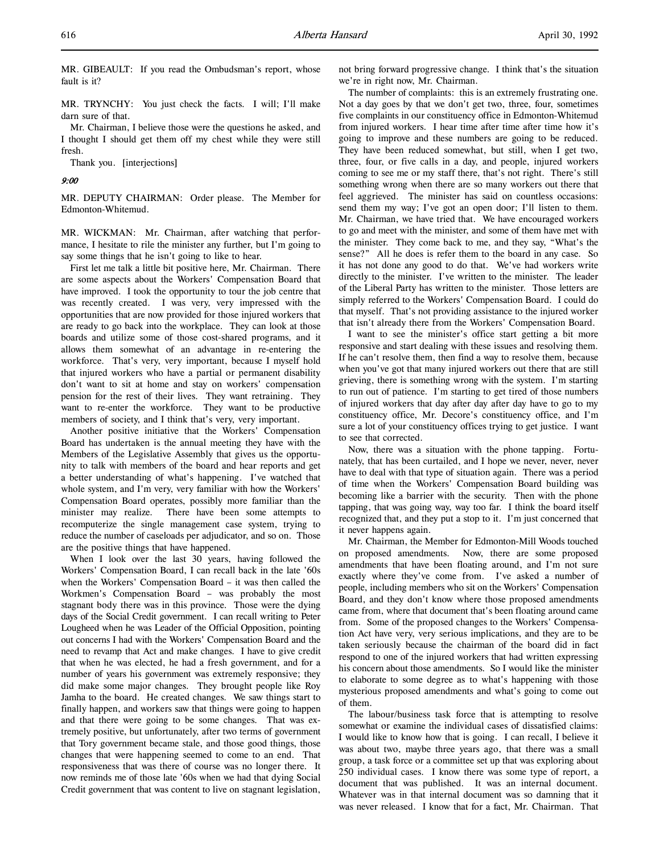MR. GIBEAULT: If you read the Ombudsman's report, whose fault is it?

MR. TRYNCHY: You just check the facts. I will; I'll make darn sure of that.

Mr. Chairman, I believe those were the questions he asked, and I thought I should get them off my chest while they were still fresh.

Thank you. [interjections]

9:00

MR. DEPUTY CHAIRMAN: Order please. The Member for Edmonton-Whitemud.

MR. WICKMAN: Mr. Chairman, after watching that performance, I hesitate to rile the minister any further, but I'm going to say some things that he isn't going to like to hear.

First let me talk a little bit positive here, Mr. Chairman. There are some aspects about the Workers' Compensation Board that have improved. I took the opportunity to tour the job centre that was recently created. I was very, very impressed with the opportunities that are now provided for those injured workers that are ready to go back into the workplace. They can look at those boards and utilize some of those cost-shared programs, and it allows them somewhat of an advantage in re-entering the workforce. That's very, very important, because I myself hold that injured workers who have a partial or permanent disability don't want to sit at home and stay on workers' compensation pension for the rest of their lives. They want retraining. They want to re-enter the workforce. They want to be productive members of society, and I think that's very, very important.

Another positive initiative that the Workers' Compensation Board has undertaken is the annual meeting they have with the Members of the Legislative Assembly that gives us the opportunity to talk with members of the board and hear reports and get a better understanding of what's happening. I've watched that whole system, and I'm very, very familiar with how the Workers' Compensation Board operates, possibly more familiar than the minister may realize. There have been some attempts to recomputerize the single management case system, trying to reduce the number of caseloads per adjudicator, and so on. Those are the positive things that have happened.

When I look over the last 30 years, having followed the Workers' Compensation Board, I can recall back in the late '60s when the Workers' Compensation Board – it was then called the Workmen's Compensation Board – was probably the most stagnant body there was in this province. Those were the dying days of the Social Credit government. I can recall writing to Peter Lougheed when he was Leader of the Official Opposition, pointing out concerns I had with the Workers' Compensation Board and the need to revamp that Act and make changes. I have to give credit that when he was elected, he had a fresh government, and for a number of years his government was extremely responsive; they did make some major changes. They brought people like Roy Jamha to the board. He created changes. We saw things start to finally happen, and workers saw that things were going to happen and that there were going to be some changes. That was extremely positive, but unfortunately, after two terms of government that Tory government became stale, and those good things, those changes that were happening seemed to come to an end. That responsiveness that was there of course was no longer there. It now reminds me of those late '60s when we had that dying Social Credit government that was content to live on stagnant legislation,

not bring forward progressive change. I think that's the situation we're in right now, Mr. Chairman.

The number of complaints: this is an extremely frustrating one. Not a day goes by that we don't get two, three, four, sometimes five complaints in our constituency office in Edmonton-Whitemud from injured workers. I hear time after time after time how it's going to improve and these numbers are going to be reduced. They have been reduced somewhat, but still, when I get two, three, four, or five calls in a day, and people, injured workers coming to see me or my staff there, that's not right. There's still something wrong when there are so many workers out there that feel aggrieved. The minister has said on countless occasions: send them my way; I've got an open door; I'll listen to them. Mr. Chairman, we have tried that. We have encouraged workers to go and meet with the minister, and some of them have met with the minister. They come back to me, and they say, "What's the sense?" All he does is refer them to the board in any case. So it has not done any good to do that. We've had workers write directly to the minister. I've written to the minister. The leader of the Liberal Party has written to the minister. Those letters are simply referred to the Workers' Compensation Board. I could do that myself. That's not providing assistance to the injured worker that isn't already there from the Workers' Compensation Board.

I want to see the minister's office start getting a bit more responsive and start dealing with these issues and resolving them. If he can't resolve them, then find a way to resolve them, because when you've got that many injured workers out there that are still grieving, there is something wrong with the system. I'm starting to run out of patience. I'm starting to get tired of those numbers of injured workers that day after day after day have to go to my constituency office, Mr. Decore's constituency office, and I'm sure a lot of your constituency offices trying to get justice. I want to see that corrected.

Now, there was a situation with the phone tapping. Fortunately, that has been curtailed, and I hope we never, never, never have to deal with that type of situation again. There was a period of time when the Workers' Compensation Board building was becoming like a barrier with the security. Then with the phone tapping, that was going way, way too far. I think the board itself recognized that, and they put a stop to it. I'm just concerned that it never happens again.

Mr. Chairman, the Member for Edmonton-Mill Woods touched on proposed amendments. Now, there are some proposed amendments that have been floating around, and I'm not sure exactly where they've come from. I've asked a number of people, including members who sit on the Workers' Compensation Board, and they don't know where those proposed amendments came from, where that document that's been floating around came from. Some of the proposed changes to the Workers' Compensation Act have very, very serious implications, and they are to be taken seriously because the chairman of the board did in fact respond to one of the injured workers that had written expressing his concern about those amendments. So I would like the minister to elaborate to some degree as to what's happening with those mysterious proposed amendments and what's going to come out of them.

The labour/business task force that is attempting to resolve somewhat or examine the individual cases of dissatisfied claims: I would like to know how that is going. I can recall, I believe it was about two, maybe three years ago, that there was a small group, a task force or a committee set up that was exploring about 250 individual cases. I know there was some type of report, a document that was published. It was an internal document. Whatever was in that internal document was so damning that it was never released. I know that for a fact, Mr. Chairman. That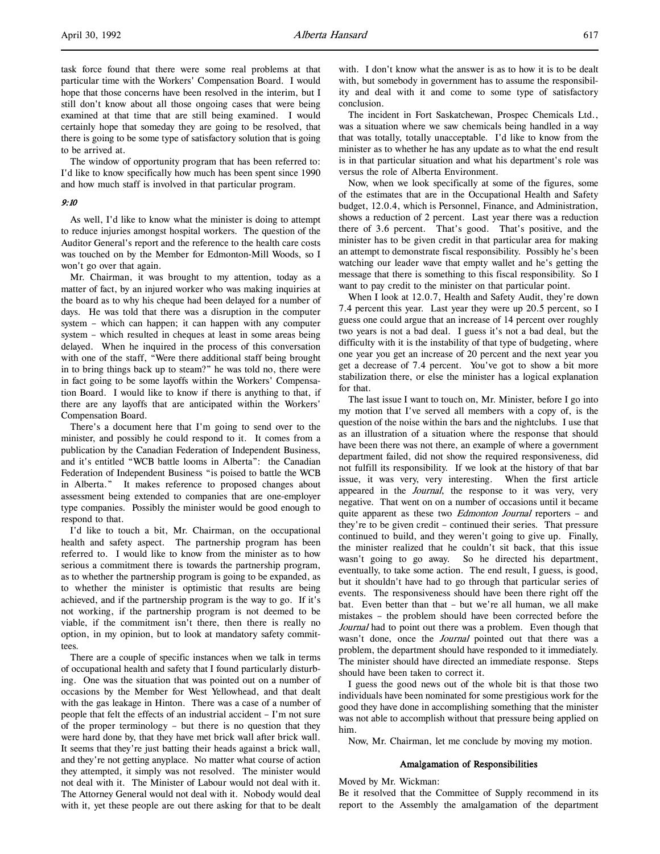task force found that there were some real problems at that particular time with the Workers' Compensation Board. I would hope that those concerns have been resolved in the interim, but I still don't know about all those ongoing cases that were being examined at that time that are still being examined. I would certainly hope that someday they are going to be resolved, that there is going to be some type of satisfactory solution that is going to be arrived at.

The window of opportunity program that has been referred to: I'd like to know specifically how much has been spent since 1990 and how much staff is involved in that particular program.

## 9:10

As well, I'd like to know what the minister is doing to attempt to reduce injuries amongst hospital workers. The question of the Auditor General's report and the reference to the health care costs was touched on by the Member for Edmonton-Mill Woods, so I won't go over that again.

Mr. Chairman, it was brought to my attention, today as a matter of fact, by an injured worker who was making inquiries at the board as to why his cheque had been delayed for a number of days. He was told that there was a disruption in the computer system – which can happen; it can happen with any computer system – which resulted in cheques at least in some areas being delayed. When he inquired in the process of this conversation with one of the staff, "Were there additional staff being brought in to bring things back up to steam?" he was told no, there were in fact going to be some layoffs within the Workers' Compensation Board. I would like to know if there is anything to that, if there are any layoffs that are anticipated within the Workers' Compensation Board.

There's a document here that I'm going to send over to the minister, and possibly he could respond to it. It comes from a publication by the Canadian Federation of Independent Business, and it's entitled "WCB battle looms in Alberta": the Canadian Federation of Independent Business "is poised to battle the WCB in Alberta." It makes reference to proposed changes about assessment being extended to companies that are one-employer type companies. Possibly the minister would be good enough to respond to that.

I'd like to touch a bit, Mr. Chairman, on the occupational health and safety aspect. The partnership program has been referred to. I would like to know from the minister as to how serious a commitment there is towards the partnership program, as to whether the partnership program is going to be expanded, as to whether the minister is optimistic that results are being achieved, and if the partnership program is the way to go. If it's not working, if the partnership program is not deemed to be viable, if the commitment isn't there, then there is really no option, in my opinion, but to look at mandatory safety committees.

There are a couple of specific instances when we talk in terms of occupational health and safety that I found particularly disturbing. One was the situation that was pointed out on a number of occasions by the Member for West Yellowhead, and that dealt with the gas leakage in Hinton. There was a case of a number of people that felt the effects of an industrial accident – I'm not sure of the proper terminology – but there is no question that they were hard done by, that they have met brick wall after brick wall. It seems that they're just batting their heads against a brick wall, and they're not getting anyplace. No matter what course of action they attempted, it simply was not resolved. The minister would not deal with it. The Minister of Labour would not deal with it. The Attorney General would not deal with it. Nobody would deal with it, yet these people are out there asking for that to be dealt

with. I don't know what the answer is as to how it is to be dealt with, but somebody in government has to assume the responsibility and deal with it and come to some type of satisfactory conclusion.

The incident in Fort Saskatchewan, Prospec Chemicals Ltd., was a situation where we saw chemicals being handled in a way that was totally, totally unacceptable. I'd like to know from the minister as to whether he has any update as to what the end result is in that particular situation and what his department's role was versus the role of Alberta Environment.

Now, when we look specifically at some of the figures, some of the estimates that are in the Occupational Health and Safety budget, 12.0.4, which is Personnel, Finance, and Administration, shows a reduction of 2 percent. Last year there was a reduction there of 3.6 percent. That's good. That's positive, and the minister has to be given credit in that particular area for making an attempt to demonstrate fiscal responsibility. Possibly he's been watching our leader wave that empty wallet and he's getting the message that there is something to this fiscal responsibility. So I want to pay credit to the minister on that particular point.

When I look at 12.0.7, Health and Safety Audit, they're down 7.4 percent this year. Last year they were up 20.5 percent, so I guess one could argue that an increase of 14 percent over roughly two years is not a bad deal. I guess it's not a bad deal, but the difficulty with it is the instability of that type of budgeting, where one year you get an increase of 20 percent and the next year you get a decrease of 7.4 percent. You've got to show a bit more stabilization there, or else the minister has a logical explanation for that.

The last issue I want to touch on, Mr. Minister, before I go into my motion that I've served all members with a copy of, is the question of the noise within the bars and the nightclubs. I use that as an illustration of a situation where the response that should have been there was not there, an example of where a government department failed, did not show the required responsiveness, did not fulfill its responsibility. If we look at the history of that bar issue, it was very, very interesting. When the first article appeared in the Journal, the response to it was very, very negative. That went on on a number of occasions until it became quite apparent as these two *Edmonton Journal* reporters - and they're to be given credit – continued their series. That pressure continued to build, and they weren't going to give up. Finally, the minister realized that he couldn't sit back, that this issue wasn't going to go away. So he directed his department, eventually, to take some action. The end result, I guess, is good, but it shouldn't have had to go through that particular series of events. The responsiveness should have been there right off the bat. Even better than that – but we're all human, we all make mistakes – the problem should have been corrected before the Journal had to point out there was a problem. Even though that wasn't done, once the *Journal* pointed out that there was a problem, the department should have responded to it immediately. The minister should have directed an immediate response. Steps should have been taken to correct it.

I guess the good news out of the whole bit is that those two individuals have been nominated for some prestigious work for the good they have done in accomplishing something that the minister was not able to accomplish without that pressure being applied on him.

Now, Mr. Chairman, let me conclude by moving my motion.

## Amalgamation of Responsibilities

## Moved by Mr. Wickman:

Be it resolved that the Committee of Supply recommend in its report to the Assembly the amalgamation of the department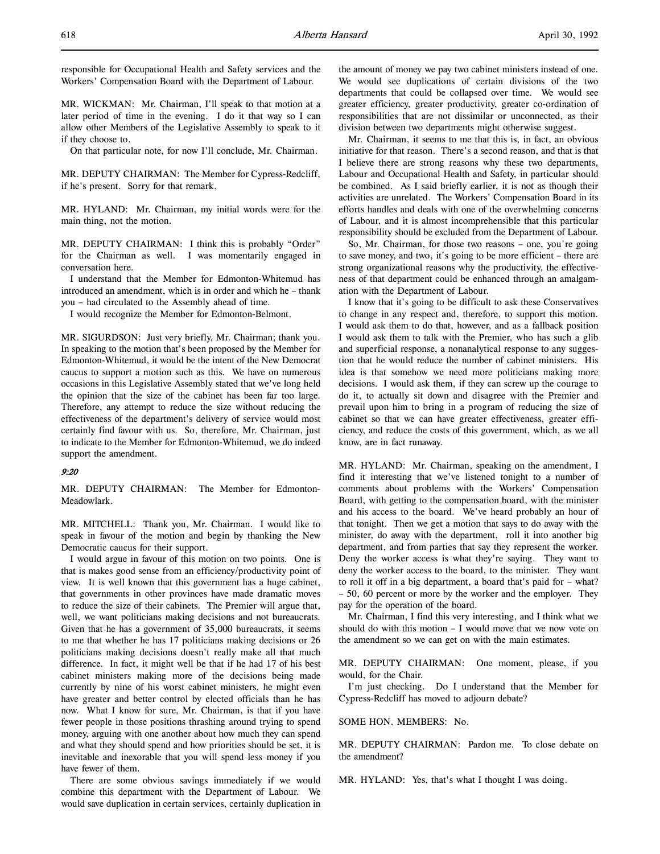responsible for Occupational Health and Safety services and the Workers' Compensation Board with the Department of Labour.

MR. WICKMAN: Mr. Chairman, I'll speak to that motion at a later period of time in the evening. I do it that way so I can allow other Members of the Legislative Assembly to speak to it if they choose to.

On that particular note, for now I'll conclude, Mr. Chairman.

MR. DEPUTY CHAIRMAN: The Member for Cypress-Redcliff, if he's present. Sorry for that remark.

MR. HYLAND: Mr. Chairman, my initial words were for the main thing, not the motion.

MR. DEPUTY CHAIRMAN: I think this is probably "Order" for the Chairman as well. I was momentarily engaged in conversation here.

I understand that the Member for Edmonton-Whitemud has introduced an amendment, which is in order and which he – thank you – had circulated to the Assembly ahead of time.

I would recognize the Member for Edmonton-Belmont.

MR. SIGURDSON: Just very briefly, Mr. Chairman; thank you. In speaking to the motion that's been proposed by the Member for Edmonton-Whitemud, it would be the intent of the New Democrat caucus to support a motion such as this. We have on numerous occasions in this Legislative Assembly stated that we've long held the opinion that the size of the cabinet has been far too large. Therefore, any attempt to reduce the size without reducing the effectiveness of the department's delivery of service would most certainly find favour with us. So, therefore, Mr. Chairman, just to indicate to the Member for Edmonton-Whitemud, we do indeed support the amendment.

## 9:20

MR. DEPUTY CHAIRMAN: The Member for Edmonton-Meadowlark.

MR. MITCHELL: Thank you, Mr. Chairman. I would like to speak in favour of the motion and begin by thanking the New Democratic caucus for their support.

I would argue in favour of this motion on two points. One is that is makes good sense from an efficiency/productivity point of view. It is well known that this government has a huge cabinet, that governments in other provinces have made dramatic moves to reduce the size of their cabinets. The Premier will argue that, well, we want politicians making decisions and not bureaucrats. Given that he has a government of 35,000 bureaucrats, it seems to me that whether he has 17 politicians making decisions or 26 politicians making decisions doesn't really make all that much difference. In fact, it might well be that if he had 17 of his best cabinet ministers making more of the decisions being made currently by nine of his worst cabinet ministers, he might even have greater and better control by elected officials than he has now. What I know for sure, Mr. Chairman, is that if you have fewer people in those positions thrashing around trying to spend money, arguing with one another about how much they can spend and what they should spend and how priorities should be set, it is inevitable and inexorable that you will spend less money if you have fewer of them.

There are some obvious savings immediately if we would combine this department with the Department of Labour. We would save duplication in certain services, certainly duplication in the amount of money we pay two cabinet ministers instead of one. We would see duplications of certain divisions of the two departments that could be collapsed over time. We would see greater efficiency, greater productivity, greater co-ordination of responsibilities that are not dissimilar or unconnected, as their division between two departments might otherwise suggest.

Mr. Chairman, it seems to me that this is, in fact, an obvious initiative for that reason. There's a second reason, and that is that I believe there are strong reasons why these two departments, Labour and Occupational Health and Safety, in particular should be combined. As I said briefly earlier, it is not as though their activities are unrelated. The Workers' Compensation Board in its efforts handles and deals with one of the overwhelming concerns of Labour, and it is almost incomprehensible that this particular responsibility should be excluded from the Department of Labour.

So, Mr. Chairman, for those two reasons – one, you're going to save money, and two, it's going to be more efficient – there are strong organizational reasons why the productivity, the effectiveness of that department could be enhanced through an amalgamation with the Department of Labour.

I know that it's going to be difficult to ask these Conservatives to change in any respect and, therefore, to support this motion. I would ask them to do that, however, and as a fallback position I would ask them to talk with the Premier, who has such a glib and superficial response, a nonanalytical response to any suggestion that he would reduce the number of cabinet ministers. His idea is that somehow we need more politicians making more decisions. I would ask them, if they can screw up the courage to do it, to actually sit down and disagree with the Premier and prevail upon him to bring in a program of reducing the size of cabinet so that we can have greater effectiveness, greater efficiency, and reduce the costs of this government, which, as we all know, are in fact runaway.

MR. HYLAND: Mr. Chairman, speaking on the amendment, I find it interesting that we've listened tonight to a number of comments about problems with the Workers' Compensation Board, with getting to the compensation board, with the minister and his access to the board. We've heard probably an hour of that tonight. Then we get a motion that says to do away with the minister, do away with the department, roll it into another big department, and from parties that say they represent the worker. Deny the worker access is what they're saying. They want to deny the worker access to the board, to the minister. They want to roll it off in a big department, a board that's paid for – what? – 50, 60 percent or more by the worker and the employer. They pay for the operation of the board.

Mr. Chairman, I find this very interesting, and I think what we should do with this motion – I would move that we now vote on the amendment so we can get on with the main estimates.

MR. DEPUTY CHAIRMAN: One moment, please, if you would, for the Chair.

I'm just checking. Do I understand that the Member for Cypress-Redcliff has moved to adjourn debate?

SOME HON. MEMBERS: No.

MR. DEPUTY CHAIRMAN: Pardon me. To close debate on the amendment?

MR. HYLAND: Yes, that's what I thought I was doing.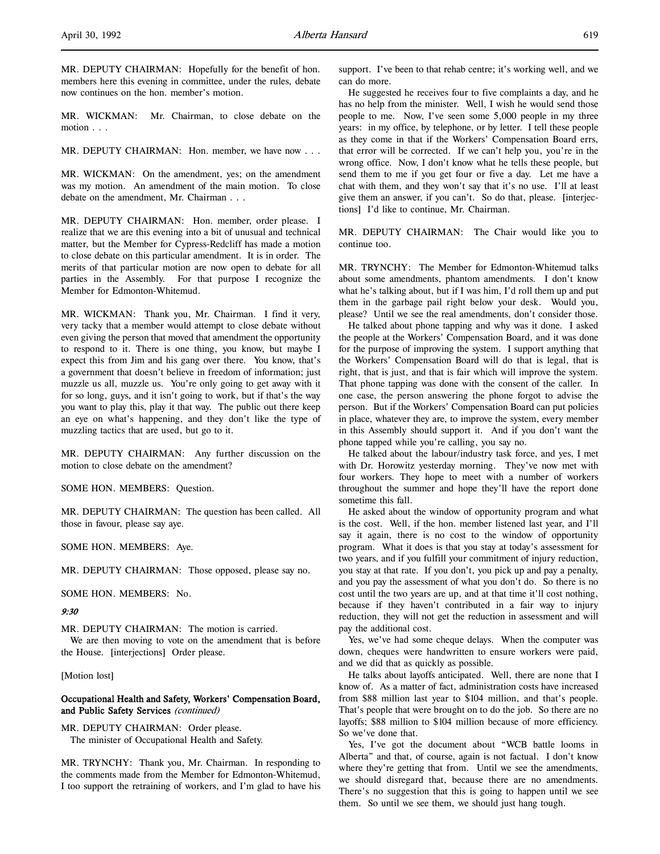MR. DEPUTY CHAIRMAN: Hopefully for the benefit of hon. members here this evening in committee, under the rules, debate now continues on the hon. member's motion.

MR. WICKMAN: Mr. Chairman, to close debate on the motion . . .

MR. DEPUTY CHAIRMAN: Hon. member, we have now . . .

MR. WICKMAN: On the amendment, yes; on the amendment was my motion. An amendment of the main motion. To close debate on the amendment, Mr. Chairman . . .

MR. DEPUTY CHAIRMAN: Hon. member, order please. I realize that we are this evening into a bit of unusual and technical matter, but the Member for Cypress-Redcliff has made a motion to close debate on this particular amendment. It is in order. The merits of that particular motion are now open to debate for all parties in the Assembly. For that purpose I recognize the Member for Edmonton-Whitemud.

MR. WICKMAN: Thank you, Mr. Chairman. I find it very, very tacky that a member would attempt to close debate without even giving the person that moved that amendment the opportunity to respond to it. There is one thing, you know, but maybe I expect this from Jim and his gang over there. You know, that's a government that doesn't believe in freedom of information; just muzzle us all, muzzle us. You're only going to get away with it for so long, guys, and it isn't going to work, but if that's the way you want to play this, play it that way. The public out there keep an eye on what's happening, and they don't like the type of muzzling tactics that are used, but go to it.

MR. DEPUTY CHAIRMAN: Any further discussion on the motion to close debate on the amendment?

SOME HON. MEMBERS: Question.

MR. DEPUTY CHAIRMAN: The question has been called. All those in favour, please say aye.

SOME HON. MEMBERS: Aye.

MR. DEPUTY CHAIRMAN: Those opposed, please say no.

SOME HON. MEMBERS: No.

#### 9:30

MR. DEPUTY CHAIRMAN: The motion is carried. We are then moving to vote on the amendment that is before

the House. [interjections] Order please.

[Motion lost]

# Occupational Health and Safety, Workers' Compensation Board, and Public Safety Services (continued)

MR. DEPUTY CHAIRMAN: Order please. The minister of Occupational Health and Safety.

MR. TRYNCHY: Thank you, Mr. Chairman. In responding to the comments made from the Member for Edmonton-Whitemud, I too support the retraining of workers, and I'm glad to have his support. I've been to that rehab centre; it's working well, and we can do more.

He suggested he receives four to five complaints a day, and he has no help from the minister. Well, I wish he would send those people to me. Now, I've seen some 5,000 people in my three years: in my office, by telephone, or by letter. I tell these people as they come in that if the Workers' Compensation Board errs, that error will be corrected. If we can't help you, you're in the wrong office. Now, I don't know what he tells these people, but send them to me if you get four or five a day. Let me have a chat with them, and they won't say that it's no use. I'll at least give them an answer, if you can't. So do that, please. [interjections] I'd like to continue, Mr. Chairman.

MR. DEPUTY CHAIRMAN: The Chair would like you to continue too.

MR. TRYNCHY: The Member for Edmonton-Whitemud talks about some amendments, phantom amendments. I don't know what he's talking about, but if I was him, I'd roll them up and put them in the garbage pail right below your desk. Would you, please? Until we see the real amendments, don't consider those.

He talked about phone tapping and why was it done. I asked the people at the Workers' Compensation Board, and it was done for the purpose of improving the system. I support anything that the Workers' Compensation Board will do that is legal, that is right, that is just, and that is fair which will improve the system. That phone tapping was done with the consent of the caller. In one case, the person answering the phone forgot to advise the person. But if the Workers' Compensation Board can put policies in place, whatever they are, to improve the system, every member in this Assembly should support it. And if you don't want the phone tapped while you're calling, you say no.

He talked about the labour/industry task force, and yes, I met with Dr. Horowitz yesterday morning. They've now met with four workers. They hope to meet with a number of workers throughout the summer and hope they'll have the report done sometime this fall.

He asked about the window of opportunity program and what is the cost. Well, if the hon. member listened last year, and I'll say it again, there is no cost to the window of opportunity program. What it does is that you stay at today's assessment for two years, and if you fulfill your commitment of injury reduction, you stay at that rate. If you don't, you pick up and pay a penalty, and you pay the assessment of what you don't do. So there is no cost until the two years are up, and at that time it'll cost nothing, because if they haven't contributed in a fair way to injury reduction, they will not get the reduction in assessment and will pay the additional cost.

Yes, we've had some cheque delays. When the computer was down, cheques were handwritten to ensure workers were paid, and we did that as quickly as possible.

He talks about layoffs anticipated. Well, there are none that I know of. As a matter of fact, administration costs have increased from \$88 million last year to \$104 million, and that's people. That's people that were brought on to do the job. So there are no layoffs; \$88 million to \$104 million because of more efficiency. So we've done that.

Yes, I've got the document about "WCB battle looms in Alberta" and that, of course, again is not factual. I don't know where they're getting that from. Until we see the amendments, we should disregard that, because there are no amendments. There's no suggestion that this is going to happen until we see them. So until we see them, we should just hang tough.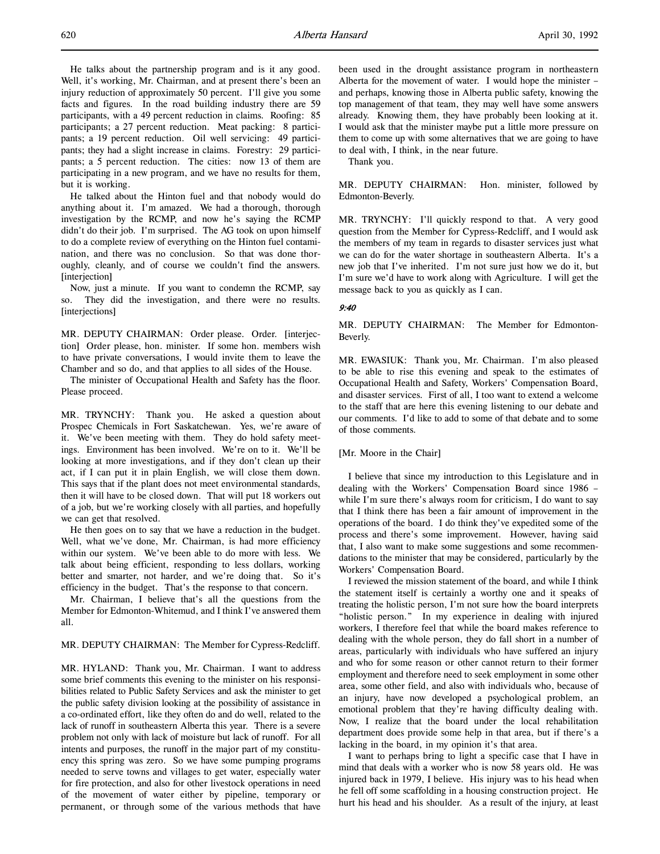He talks about the partnership program and is it any good. Well, it's working, Mr. Chairman, and at present there's been an injury reduction of approximately 50 percent. I'll give you some facts and figures. In the road building industry there are 59 participants, with a 49 percent reduction in claims. Roofing: 85 participants; a 27 percent reduction. Meat packing: 8 participants; a 19 percent reduction. Oil well servicing: 49 participants; they had a slight increase in claims. Forestry: 29 participants; a 5 percent reduction. The cities: now 13 of them are participating in a new program, and we have no results for them, but it is working.

He talked about the Hinton fuel and that nobody would do anything about it. I'm amazed. We had a thorough, thorough investigation by the RCMP, and now he's saying the RCMP didn't do their job. I'm surprised. The AG took on upon himself to do a complete review of everything on the Hinton fuel contamination, and there was no conclusion. So that was done thoroughly, cleanly, and of course we couldn't find the answers. [interjection]

Now, just a minute. If you want to condemn the RCMP, say so. They did the investigation, and there were no results. [interjections]

MR. DEPUTY CHAIRMAN: Order please. Order. [interjection] Order please, hon. minister. If some hon. members wish to have private conversations, I would invite them to leave the Chamber and so do, and that applies to all sides of the House.

The minister of Occupational Health and Safety has the floor. Please proceed.

MR. TRYNCHY: Thank you. He asked a question about Prospec Chemicals in Fort Saskatchewan. Yes, we're aware of it. We've been meeting with them. They do hold safety meetings. Environment has been involved. We're on to it. We'll be looking at more investigations, and if they don't clean up their act, if I can put it in plain English, we will close them down. This says that if the plant does not meet environmental standards, then it will have to be closed down. That will put 18 workers out of a job, but we're working closely with all parties, and hopefully we can get that resolved.

He then goes on to say that we have a reduction in the budget. Well, what we've done, Mr. Chairman, is had more efficiency within our system. We've been able to do more with less. We talk about being efficient, responding to less dollars, working better and smarter, not harder, and we're doing that. So it's efficiency in the budget. That's the response to that concern.

Mr. Chairman, I believe that's all the questions from the Member for Edmonton-Whitemud, and I think I've answered them all.

## MR. DEPUTY CHAIRMAN: The Member for Cypress-Redcliff.

MR. HYLAND: Thank you, Mr. Chairman. I want to address some brief comments this evening to the minister on his responsibilities related to Public Safety Services and ask the minister to get the public safety division looking at the possibility of assistance in a co-ordinated effort, like they often do and do well, related to the lack of runoff in southeastern Alberta this year. There is a severe problem not only with lack of moisture but lack of runoff. For all intents and purposes, the runoff in the major part of my constituency this spring was zero. So we have some pumping programs needed to serve towns and villages to get water, especially water for fire protection, and also for other livestock operations in need of the movement of water either by pipeline, temporary or permanent, or through some of the various methods that have

been used in the drought assistance program in northeastern Alberta for the movement of water. I would hope the minister – and perhaps, knowing those in Alberta public safety, knowing the top management of that team, they may well have some answers already. Knowing them, they have probably been looking at it. I would ask that the minister maybe put a little more pressure on them to come up with some alternatives that we are going to have to deal with, I think, in the near future.

Thank you.

MR. DEPUTY CHAIRMAN: Hon. minister, followed by Edmonton-Beverly.

MR. TRYNCHY: I'll quickly respond to that. A very good question from the Member for Cypress-Redcliff, and I would ask the members of my team in regards to disaster services just what we can do for the water shortage in southeastern Alberta. It's a new job that I've inherited. I'm not sure just how we do it, but I'm sure we'd have to work along with Agriculture. I will get the message back to you as quickly as I can.

## 9:40

MR. DEPUTY CHAIRMAN: The Member for Edmonton-Beverly.

MR. EWASIUK: Thank you, Mr. Chairman. I'm also pleased to be able to rise this evening and speak to the estimates of Occupational Health and Safety, Workers' Compensation Board, and disaster services. First of all, I too want to extend a welcome to the staff that are here this evening listening to our debate and our comments. I'd like to add to some of that debate and to some of those comments.

### [Mr. Moore in the Chair]

I believe that since my introduction to this Legislature and in dealing with the Workers' Compensation Board since 1986 – while I'm sure there's always room for criticism, I do want to say that I think there has been a fair amount of improvement in the operations of the board. I do think they've expedited some of the process and there's some improvement. However, having said that, I also want to make some suggestions and some recommendations to the minister that may be considered, particularly by the Workers' Compensation Board.

I reviewed the mission statement of the board, and while I think the statement itself is certainly a worthy one and it speaks of treating the holistic person, I'm not sure how the board interprets "holistic person." In my experience in dealing with injured workers, I therefore feel that while the board makes reference to dealing with the whole person, they do fall short in a number of areas, particularly with individuals who have suffered an injury and who for some reason or other cannot return to their former employment and therefore need to seek employment in some other area, some other field, and also with individuals who, because of an injury, have now developed a psychological problem, an emotional problem that they're having difficulty dealing with. Now, I realize that the board under the local rehabilitation department does provide some help in that area, but if there's a lacking in the board, in my opinion it's that area.

I want to perhaps bring to light a specific case that I have in mind that deals with a worker who is now 58 years old. He was injured back in 1979, I believe. His injury was to his head when he fell off some scaffolding in a housing construction project. He hurt his head and his shoulder. As a result of the injury, at least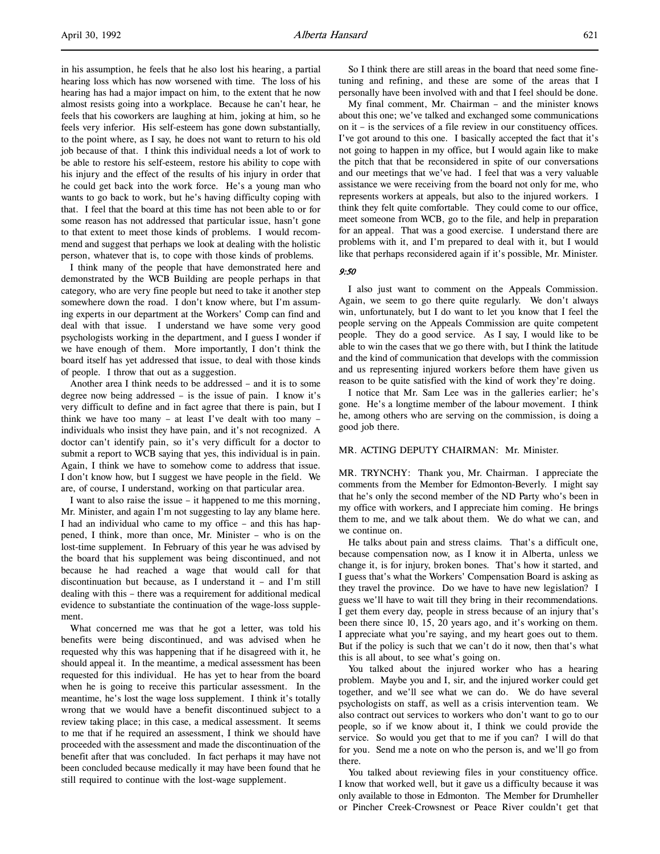in his assumption, he feels that he also lost his hearing, a partial hearing loss which has now worsened with time. The loss of his hearing has had a major impact on him, to the extent that he now almost resists going into a workplace. Because he can't hear, he feels that his coworkers are laughing at him, joking at him, so he feels very inferior. His self-esteem has gone down substantially, to the point where, as I say, he does not want to return to his old job because of that. I think this individual needs a lot of work to be able to restore his self-esteem, restore his ability to cope with his injury and the effect of the results of his injury in order that he could get back into the work force. He's a young man who wants to go back to work, but he's having difficulty coping with that. I feel that the board at this time has not been able to or for some reason has not addressed that particular issue, hasn't gone to that extent to meet those kinds of problems. I would recommend and suggest that perhaps we look at dealing with the holistic person, whatever that is, to cope with those kinds of problems.

I think many of the people that have demonstrated here and demonstrated by the WCB Building are people perhaps in that category, who are very fine people but need to take it another step somewhere down the road. I don't know where, but I'm assuming experts in our department at the Workers' Comp can find and deal with that issue. I understand we have some very good psychologists working in the department, and I guess I wonder if we have enough of them. More importantly, I don't think the board itself has yet addressed that issue, to deal with those kinds of people. I throw that out as a suggestion.

Another area I think needs to be addressed – and it is to some degree now being addressed – is the issue of pain. I know it's very difficult to define and in fact agree that there is pain, but I think we have too many – at least I've dealt with too many – individuals who insist they have pain, and it's not recognized. A doctor can't identify pain, so it's very difficult for a doctor to submit a report to WCB saying that yes, this individual is in pain. Again, I think we have to somehow come to address that issue. I don't know how, but I suggest we have people in the field. We are, of course, I understand, working on that particular area.

I want to also raise the issue – it happened to me this morning, Mr. Minister, and again I'm not suggesting to lay any blame here. I had an individual who came to my office – and this has happened, I think, more than once, Mr. Minister – who is on the lost-time supplement. In February of this year he was advised by the board that his supplement was being discontinued, and not because he had reached a wage that would call for that discontinuation but because, as I understand it – and I'm still dealing with this – there was a requirement for additional medical evidence to substantiate the continuation of the wage-loss supplement.

What concerned me was that he got a letter, was told his benefits were being discontinued, and was advised when he requested why this was happening that if he disagreed with it, he should appeal it. In the meantime, a medical assessment has been requested for this individual. He has yet to hear from the board when he is going to receive this particular assessment. In the meantime, he's lost the wage loss supplement. I think it's totally wrong that we would have a benefit discontinued subject to a review taking place; in this case, a medical assessment. It seems to me that if he required an assessment, I think we should have proceeded with the assessment and made the discontinuation of the benefit after that was concluded. In fact perhaps it may have not been concluded because medically it may have been found that he still required to continue with the lost-wage supplement.

So I think there are still areas in the board that need some finetuning and refining, and these are some of the areas that I personally have been involved with and that I feel should be done.

My final comment, Mr. Chairman – and the minister knows about this one; we've talked and exchanged some communications on it – is the services of a file review in our constituency offices. I've got around to this one. I basically accepted the fact that it's not going to happen in my office, but I would again like to make the pitch that that be reconsidered in spite of our conversations and our meetings that we've had. I feel that was a very valuable assistance we were receiving from the board not only for me, who represents workers at appeals, but also to the injured workers. I think they felt quite comfortable. They could come to our office, meet someone from WCB, go to the file, and help in preparation for an appeal. That was a good exercise. I understand there are problems with it, and I'm prepared to deal with it, but I would like that perhaps reconsidered again if it's possible, Mr. Minister.

# 9:50

I also just want to comment on the Appeals Commission. Again, we seem to go there quite regularly. We don't always win, unfortunately, but I do want to let you know that I feel the people serving on the Appeals Commission are quite competent people. They do a good service. As I say, I would like to be able to win the cases that we go there with, but I think the latitude and the kind of communication that develops with the commission and us representing injured workers before them have given us reason to be quite satisfied with the kind of work they're doing.

I notice that Mr. Sam Lee was in the galleries earlier; he's gone. He's a longtime member of the labour movement. I think he, among others who are serving on the commission, is doing a good job there.

# MR. ACTING DEPUTY CHAIRMAN: Mr. Minister.

MR. TRYNCHY: Thank you, Mr. Chairman. I appreciate the comments from the Member for Edmonton-Beverly. I might say that he's only the second member of the ND Party who's been in my office with workers, and I appreciate him coming. He brings them to me, and we talk about them. We do what we can, and we continue on.

He talks about pain and stress claims. That's a difficult one, because compensation now, as I know it in Alberta, unless we change it, is for injury, broken bones. That's how it started, and I guess that's what the Workers' Compensation Board is asking as they travel the province. Do we have to have new legislation? I guess we'll have to wait till they bring in their recommendations. I get them every day, people in stress because of an injury that's been there since 10, 15, 20 years ago, and it's working on them. I appreciate what you're saying, and my heart goes out to them. But if the policy is such that we can't do it now, then that's what this is all about, to see what's going on.

You talked about the injured worker who has a hearing problem. Maybe you and I, sir, and the injured worker could get together, and we'll see what we can do. We do have several psychologists on staff, as well as a crisis intervention team. We also contract out services to workers who don't want to go to our people, so if we know about it, I think we could provide the service. So would you get that to me if you can? I will do that for you. Send me a note on who the person is, and we'll go from there.

You talked about reviewing files in your constituency office. I know that worked well, but it gave us a difficulty because it was only available to those in Edmonton. The Member for Drumheller or Pincher Creek-Crowsnest or Peace River couldn't get that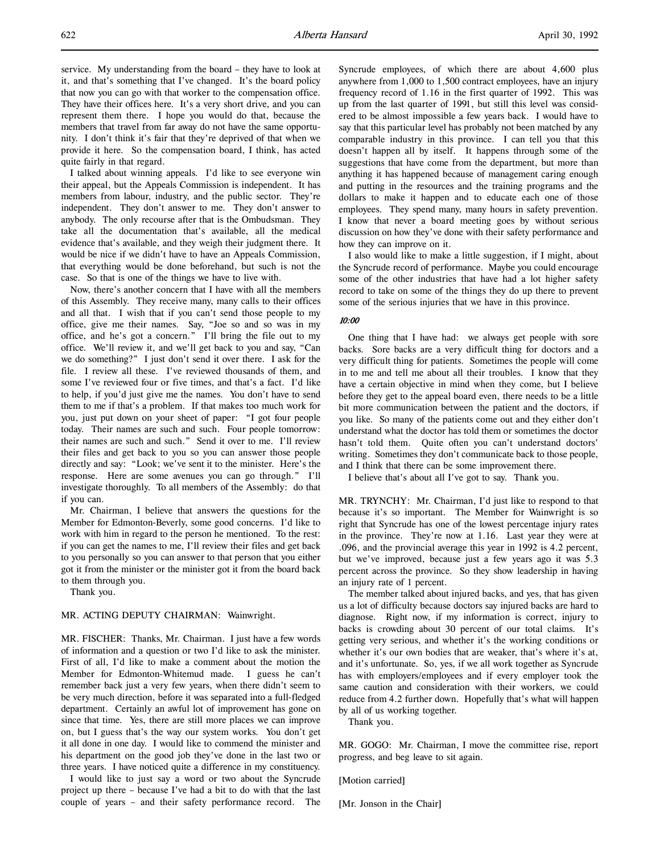service. My understanding from the board – they have to look at it, and that's something that I've changed. It's the board policy that now you can go with that worker to the compensation office. They have their offices here. It's a very short drive, and you can represent them there. I hope you would do that, because the members that travel from far away do not have the same opportunity. I don't think it's fair that they're deprived of that when we provide it here. So the compensation board, I think, has acted quite fairly in that regard.

I talked about winning appeals. I'd like to see everyone win their appeal, but the Appeals Commission is independent. It has members from labour, industry, and the public sector. They're independent. They don't answer to me. They don't answer to anybody. The only recourse after that is the Ombudsman. They take all the documentation that's available, all the medical evidence that's available, and they weigh their judgment there. It would be nice if we didn't have to have an Appeals Commission, that everything would be done beforehand, but such is not the case. So that is one of the things we have to live with.

Now, there's another concern that I have with all the members of this Assembly. They receive many, many calls to their offices and all that. I wish that if you can't send those people to my office, give me their names. Say, "Joe so and so was in my office, and he's got a concern." I'll bring the file out to my office. We'll review it, and we'll get back to you and say, "Can we do something?" I just don't send it over there. I ask for the file. I review all these. I've reviewed thousands of them, and some I've reviewed four or five times, and that's a fact. I'd like to help, if you'd just give me the names. You don't have to send them to me if that's a problem. If that makes too much work for you, just put down on your sheet of paper: "I got four people today. Their names are such and such. Four people tomorrow: their names are such and such." Send it over to me. I'll review their files and get back to you so you can answer those people directly and say: "Look; we've sent it to the minister. Here's the response. Here are some avenues you can go through." I'll investigate thoroughly. To all members of the Assembly: do that if you can.

Mr. Chairman, I believe that answers the questions for the Member for Edmonton-Beverly, some good concerns. I'd like to work with him in regard to the person he mentioned. To the rest: if you can get the names to me, I'll review their files and get back to you personally so you can answer to that person that you either got it from the minister or the minister got it from the board back to them through you.

Thank you.

# MR. ACTING DEPUTY CHAIRMAN: Wainwright.

MR. FISCHER: Thanks, Mr. Chairman. I just have a few words of information and a question or two I'd like to ask the minister. First of all, I'd like to make a comment about the motion the Member for Edmonton-Whitemud made. I guess he can't remember back just a very few years, when there didn't seem to be very much direction, before it was separated into a full-fledged department. Certainly an awful lot of improvement has gone on since that time. Yes, there are still more places we can improve on, but I guess that's the way our system works. You don't get it all done in one day. I would like to commend the minister and his department on the good job they've done in the last two or three years. I have noticed quite a difference in my constituency.

I would like to just say a word or two about the Syncrude project up there – because I've had a bit to do with that the last couple of years – and their safety performance record. The Syncrude employees, of which there are about 4,600 plus anywhere from 1,000 to 1,500 contract employees, have an injury frequency record of 1.16 in the first quarter of 1992. This was up from the last quarter of 1991, but still this level was considered to be almost impossible a few years back. I would have to say that this particular level has probably not been matched by any comparable industry in this province. I can tell you that this doesn't happen all by itself. It happens through some of the suggestions that have come from the department, but more than anything it has happened because of management caring enough and putting in the resources and the training programs and the dollars to make it happen and to educate each one of those employees. They spend many, many hours in safety prevention. I know that never a board meeting goes by without serious discussion on how they've done with their safety performance and how they can improve on it.

I also would like to make a little suggestion, if I might, about the Syncrude record of performance. Maybe you could encourage some of the other industries that have had a lot higher safety record to take on some of the things they do up there to prevent some of the serious injuries that we have in this province.

### 10:00

One thing that I have had: we always get people with sore backs. Sore backs are a very difficult thing for doctors and a very difficult thing for patients. Sometimes the people will come in to me and tell me about all their troubles. I know that they have a certain objective in mind when they come, but I believe before they get to the appeal board even, there needs to be a little bit more communication between the patient and the doctors, if you like. So many of the patients come out and they either don't understand what the doctor has told them or sometimes the doctor hasn't told them. Quite often you can't understand doctors' writing. Sometimes they don't communicate back to those people, and I think that there can be some improvement there.

I believe that's about all I've got to say. Thank you.

MR. TRYNCHY: Mr. Chairman, I'd just like to respond to that because it's so important. The Member for Wainwright is so right that Syncrude has one of the lowest percentage injury rates in the province. They're now at 1.16. Last year they were at .096, and the provincial average this year in 1992 is 4.2 percent, but we've improved, because just a few years ago it was 5.3 percent across the province. So they show leadership in having an injury rate of 1 percent.

The member talked about injured backs, and yes, that has given us a lot of difficulty because doctors say injured backs are hard to diagnose. Right now, if my information is correct, injury to backs is crowding about 30 percent of our total claims. It's getting very serious, and whether it's the working conditions or whether it's our own bodies that are weaker, that's where it's at, and it's unfortunate. So, yes, if we all work together as Syncrude has with employers/employees and if every employer took the same caution and consideration with their workers, we could reduce from 4.2 further down. Hopefully that's what will happen by all of us working together.

Thank you.

MR. GOGO: Mr. Chairman, I move the committee rise, report progress, and beg leave to sit again.

[Motion carried]

[Mr. Jonson in the Chair]